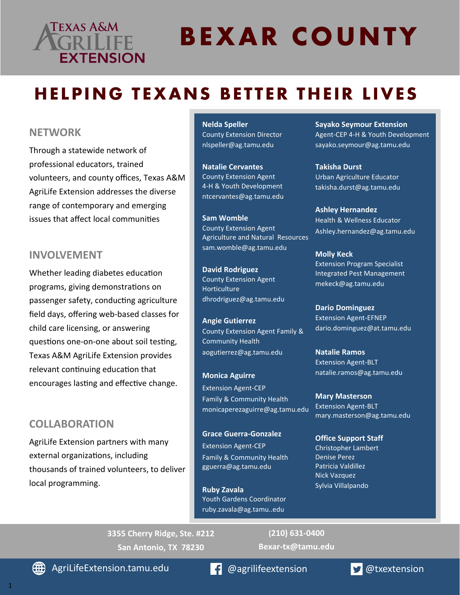# Texas A&M **EXTENSION**

# **BEXAR COUNTY**

# **HELPING TEXANS BETTER THEIR LIVES**

### **NETWORK**

Through a statewide network of professional educators, trained volunteers, and county offices, Texas A&M AgriLife Extension addresses the diverse range of contemporary and emerging issues that affect local communities.

### **INVOLVEMENT**

Whether leading diabetes education programs, giving demonstrations on passenger safety, conducting agriculture field days, offering web-based classes for child care licensing, or answering questions one-on-one about soil testing, Texas A&M AgriLife Extension provides relevant continuing education that encourages lasting and effective change.

### **COLLABORATION**

AgriLife Extension partners with many external organizations, including thousands of trained volunteers, to deliver local programming.

#### **Nelda Speller** County Extension Director nlspeller@ag.tamu.edu

**Natalie Cervantes** County Extension Agent 4-H & Youth Development ntcervantes@ag.tamu.edu

**Sam Womble** County Extension Agent Agriculture and Natural Resources sam.womble@ag.tamu.edu

**David Rodriguez** County Extension Agent **Horticulture** dhrodriguez@ag.tamu.edu

**Angie Gutierrez** County Extension Agent Family & Community Health aogutierrez@ag.tamu.edu

**Monica Aguirre** Extension Agent-CEP Family & Community Health monicaperezaguirre@ag.tamu.edu

**Grace Guerra-Gonzalez** Extension Agent-CEP Family & Community Health gguerra@ag.tamu.edu

**Dario Dominguez**  Extension Agent-EFNEP dario.dominguez@at.tamu.edu

**Ruby Zavala**  Youth Gardens Coordinator ruby.zavala@ag.tamu..edu

**Molly Keck**  Extension Program Specialist Integrated Pest Management mekeck@ag.tamu.edu

**Sayako Seymour**  Extension Agent-CEP 4-H & Youth Development sayako.seymour@ag.tamu.edu

**Takisha Durst** Urban Agriculture Educator takisha.durst@ag.tamu.edu

**Ashley Hernandez** Health & Wellness Educator ashley.hernandez@ag.tamu.edu

**Natalie Ramos** Extension Agent-BLT natalie.ramos@ag.tamu.edu

**Mary Masterson** Extension Agent-BLT mary.masterson@ag.tamu.edu

**Office Support Staff** Christopher Lambert Denise Perez Patricia Valdillez Nick Vazquez Sylvia Villalpando

**3355 Cherry Ridge, Ste. #212 San Antonio, TX 78230**

**(210) 631-0400 Bexar-tx@tamu.edu**

**(#)** AgriLifeExtension.tamu.edu **@agrilifeextension @txextension**